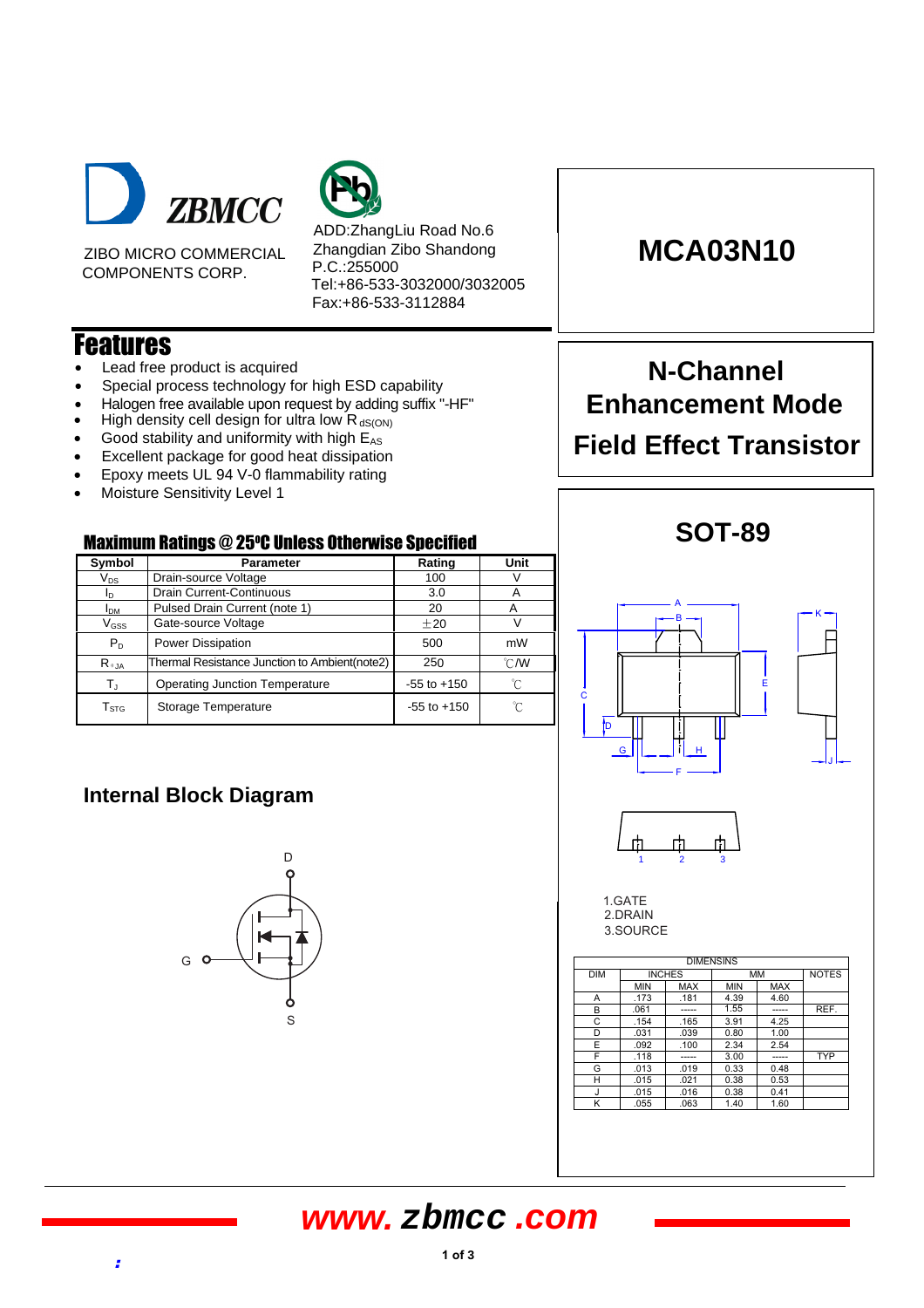

ZIBO MICRO COMMERCIAL COMPONENTS CORP.

ADD:ZhangLiu Road No.6 Zhangdian Zibo Shandong P.C.:255000 Tel:+86-533-3032000/3032005 Fax:+86-533-3112884

### Features

- Lead free product is acquired
- Special process technology for high ESD capability
- Halogen free available upon request by adding suffix "-HF"
- High density cell design for ultra low  $R_{dS(ON)}$
- Good stability and uniformity with high  $E_{AS}$
- Excellent package for good heat dissipation
- Epoxy meets UL 94 V-0 flammability rating
- Moisture Sensitivity Level 1

#### Maximum Ratings @ 25 <sup>O</sup>C Unless Otherwise Specified

| Symbol                     | <b>Parameter</b>                              | Rating          | Unit           |  |
|----------------------------|-----------------------------------------------|-----------------|----------------|--|
| $\mathsf{V}_{\mathsf{DS}}$ | Drain-source Voltage                          | 100             |                |  |
| ΙD                         | Drain Current-Continuous                      | 3.0             | А              |  |
| <b>I<sub>DM</sub></b>      | Pulsed Drain Current (note 1)                 | 20              | А              |  |
| $V_{GSS}$                  | Gate-source Voltage                           | ±20             | V              |  |
| $P_{D}$                    | <b>Power Dissipation</b>                      | 500             | mW             |  |
| $R_{\theta,JA}$            | Thermal Resistance Junction to Ambient(note2) | 250             | $^{\circ}$ CMV |  |
| T,                         | <b>Operating Junction Temperature</b>         | $-55$ to $+150$ | °C             |  |
| T <sub>STG</sub>           | Storage Temperature                           | $-55$ to $+150$ | °C             |  |

### **Internal Block Diagram**



## **MCA03N10**

# **N-Channel Enhancement Mode Field Effect Transistor**



H .015 .021 0.38 0.53  $J \qquad .015 \qquad .016 \qquad 0.38 \qquad 0.41$ K 055 063 1.40 1.60

### **www. zbmcc .com**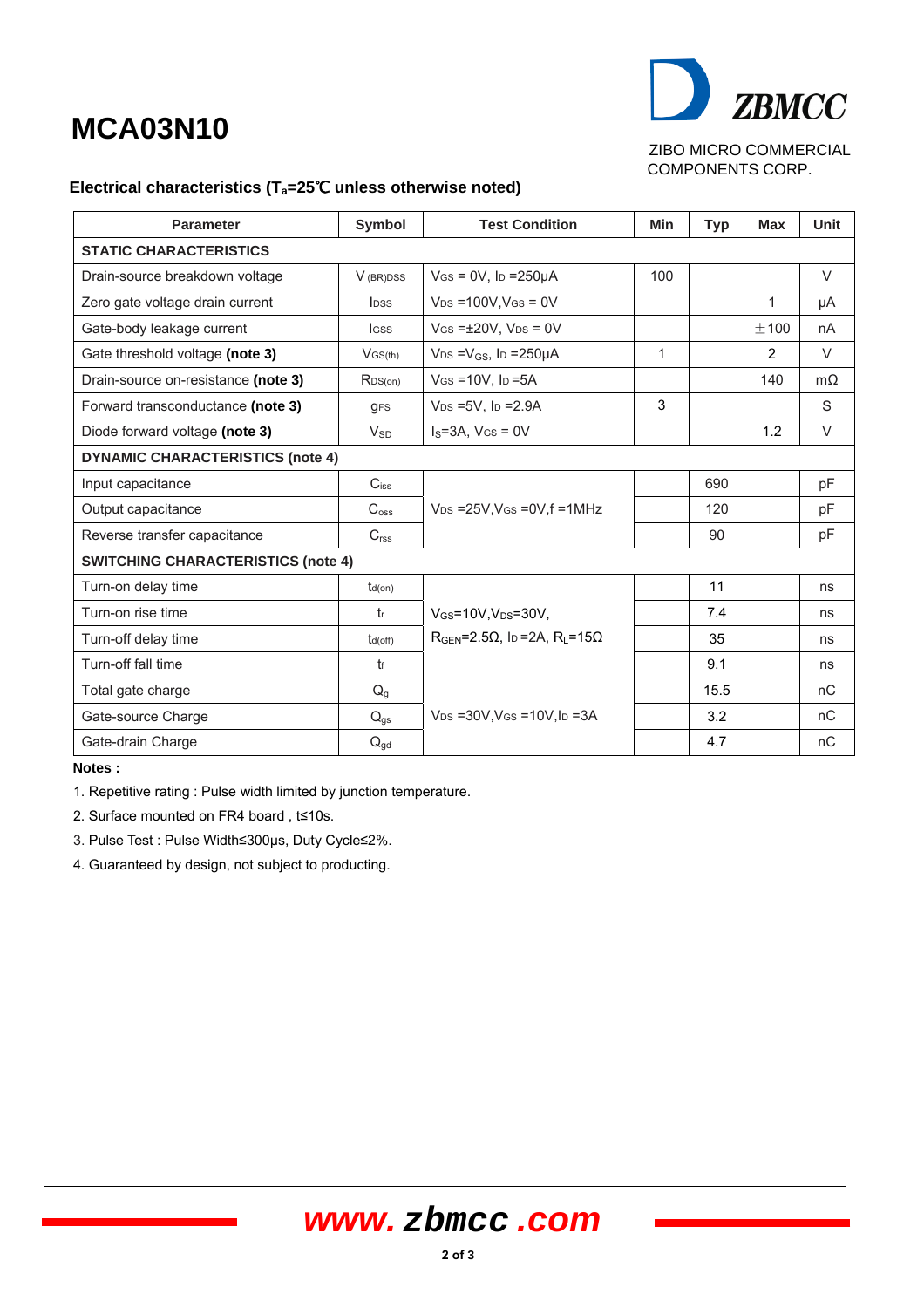# **MCA03N10**



ZIBO MICRO COMMERCIAL COMPONENTS CORP.

#### **Electrical characteristics (Ta=25**℃ **unless otherwise noted)**

| <b>Parameter</b>                          | Symbol                  | <b>Test Condition</b>                                      | Min          | <b>Typ</b> | <b>Max</b> | Unit      |  |
|-------------------------------------------|-------------------------|------------------------------------------------------------|--------------|------------|------------|-----------|--|
| <b>STATIC CHARACTERISTICS</b>             |                         |                                                            |              |            |            |           |  |
| Drain-source breakdown voltage            | V <sub>(BR)DSS</sub>    | $V$ GS = 0V, lp = 250 $\mu$ A                              | 100          |            |            | $\vee$    |  |
| Zero gate voltage drain current           | <b>l</b> <sub>DSS</sub> | $V_{DS} = 100V$ , $V_{GS} = 0V$                            |              |            | 1          | μA        |  |
| Gate-body leakage current                 | <b>I</b> GSS            | $V$ GS = $\pm$ 20V, V <sub>DS</sub> = 0V                   |              |            | $+100$     | nA        |  |
| Gate threshold voltage (note 3)           | $V$ GS(th)              | $V_{DS} = V_{GS}$ , I <sub>D</sub> = 250 $\mu$ A           | $\mathbf{1}$ |            | 2          | $\vee$    |  |
| Drain-source on-resistance (note 3)       | RDS(on)                 | $V$ GS = 10V, $I_D$ = 5A                                   |              |            | 140        | $m\Omega$ |  |
| Forward transconductance (note 3)         | <b>gFS</b>              | $V_{DS} = 5V$ , lp = 2.9A                                  | 3            |            |            | S         |  |
| Diode forward voltage (note 3)            | $V_{SD}$                | $IS=3A$ , $VGS=0V$                                         |              |            | 1.2        | $\vee$    |  |
| <b>DYNAMIC CHARACTERISTICS (note 4)</b>   |                         |                                                            |              |            |            |           |  |
| Input capacitance                         | $C_{iss}$               |                                                            |              | 690        |            | pF        |  |
| Output capacitance                        | $C_{\text{oss}}$        | $V_{DS}$ =25V, VGS =0V, f =1MHz                            |              | 120        |            | pF        |  |
| Reverse transfer capacitance              | C <sub>rss</sub>        |                                                            |              | 90         |            | pF        |  |
| <b>SWITCHING CHARACTERISTICS (note 4)</b> |                         |                                                            |              |            |            |           |  |
| Turn-on delay time                        | $t_{d(on)}$             |                                                            |              | 11         |            | ns        |  |
| Turn-on rise time                         | tr                      | $V_{GS}$ =10V, $V_{DS}$ =30V,                              |              | 7.4        |            | ns        |  |
| Turn-off delay time                       | $t_{d(off)}$            | $RGEN=2.5\Omega$ , lp =2A, $RL=15\Omega$                   |              | 35         |            | ns        |  |
| Turn-off fall time                        | tf                      |                                                            |              | 9.1        |            | ns        |  |
| Total gate charge                         | $Q_g$                   |                                                            |              | 15.5       |            | nC        |  |
| Gate-source Charge                        | $Q_{gs}$                | $V_{DS}$ = 30V, V <sub>GS</sub> = 10V, I <sub>D</sub> = 3A |              | 3.2        |            | nC        |  |
| Gate-drain Charge                         | $Q_{gd}$                |                                                            |              | 4.7        |            | nC        |  |

**Notes :** 

1. Repetitive rating : Pulse width limited by junction temperature.

2. Surface mounted on FR4 board , t≤10s.

3. Pulse Test : Pulse Width≤300µs, Duty Cycle≤2%.

4. Guaranteed by design, not subject to producting.

## **www. zbmcc .com**